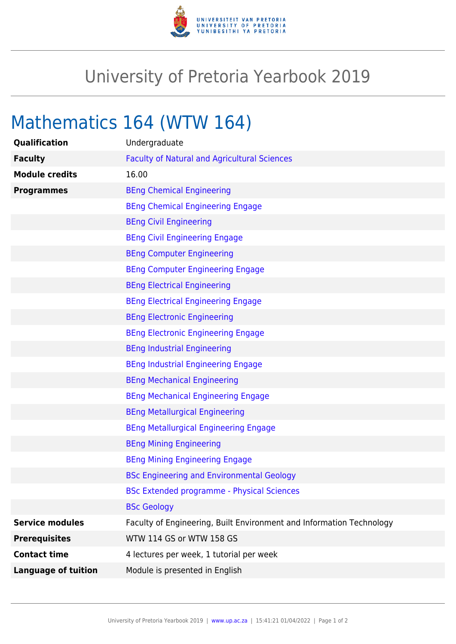

## University of Pretoria Yearbook 2019

# Mathematics 164 (WTW 164)

| Qualification              | Undergraduate                                                        |
|----------------------------|----------------------------------------------------------------------|
| <b>Faculty</b>             | <b>Faculty of Natural and Agricultural Sciences</b>                  |
| <b>Module credits</b>      | 16.00                                                                |
| <b>Programmes</b>          | <b>BEng Chemical Engineering</b>                                     |
|                            | <b>BEng Chemical Engineering Engage</b>                              |
|                            | <b>BEng Civil Engineering</b>                                        |
|                            | <b>BEng Civil Engineering Engage</b>                                 |
|                            | <b>BEng Computer Engineering</b>                                     |
|                            | <b>BEng Computer Engineering Engage</b>                              |
|                            | <b>BEng Electrical Engineering</b>                                   |
|                            | <b>BEng Electrical Engineering Engage</b>                            |
|                            | <b>BEng Electronic Engineering</b>                                   |
|                            | <b>BEng Electronic Engineering Engage</b>                            |
|                            | <b>BEng Industrial Engineering</b>                                   |
|                            | <b>BEng Industrial Engineering Engage</b>                            |
|                            | <b>BEng Mechanical Engineering</b>                                   |
|                            | <b>BEng Mechanical Engineering Engage</b>                            |
|                            | <b>BEng Metallurgical Engineering</b>                                |
|                            | <b>BEng Metallurgical Engineering Engage</b>                         |
|                            | <b>BEng Mining Engineering</b>                                       |
|                            | <b>BEng Mining Engineering Engage</b>                                |
|                            | <b>BSc Engineering and Environmental Geology</b>                     |
|                            | <b>BSc Extended programme - Physical Sciences</b>                    |
|                            | <b>BSc Geology</b>                                                   |
| <b>Service modules</b>     | Faculty of Engineering, Built Environment and Information Technology |
| <b>Prerequisites</b>       | WTW 114 GS or WTW 158 GS                                             |
| <b>Contact time</b>        | 4 lectures per week, 1 tutorial per week                             |
| <b>Language of tuition</b> | Module is presented in English                                       |
|                            |                                                                      |